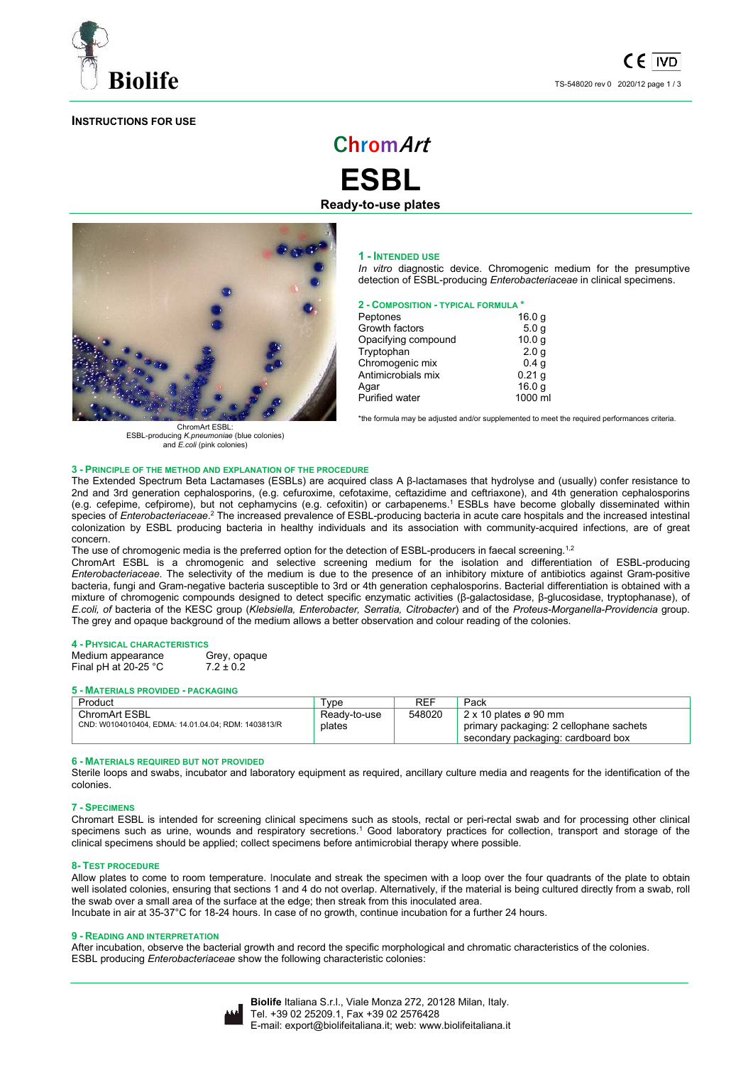

# **INSTRUCTIONS FOR USE**

# **ChromArt**

**ESBL Ready-to-use plates** 



ChromArt ESBL: ESBL-producing *K.pneumoniae* (blue colonies) and *E.coli* (pink colonies)

#### **1 - INTENDED USE**

*In vitro* diagnostic device. Chromogenic medium for the presumptive detection of ESBL-producing *Enterobacteriaceae* in clinical specimens.

## **2 - COMPOSITION - TYPICAL FORMULA \***

| Peptones              | 16.0 <sub>g</sub> |
|-----------------------|-------------------|
| Growth factors        | 5.0 <sub>q</sub>  |
| Opacifying compound   | 10.0 <sub>g</sub> |
| Tryptophan            | 2.0 <sub>g</sub>  |
| Chromogenic mix       | 0.4 <sub>g</sub>  |
| Antimicrobials mix    | 0.21 <sub>q</sub> |
| Agar                  | 16.0 <sub>q</sub> |
| <b>Purified water</b> | 1000 ml           |

\*the formula may be adjusted and/or supplemented to meet the required performances criteria.

#### **3 - PRINCIPLE OF THE METHOD AND EXPLANATION OF THE PROCEDURE**

The Extended Spectrum Beta Lactamases (ESBLs) are acquired class A β-lactamases that hydrolyse and (usually) confer resistance to 2nd and 3rd generation cephalosporins, (e.g. cefuroxime, cefotaxime, ceftazidime and ceftriaxone), and 4th generation cephalosporins (e.g. cefepime, cefpirome), but not cephamycins (e.g. cefoxitin) or carbapenems.<sup>1</sup> ESBLs have become globally disseminated within species of *Enterobacteriaceae.<sup>2</sup>* The increased prevalence of ESBL-producing bacteria in acute care hospitals and the increased intestinal colonization by ESBL producing bacteria in healthy individuals and its association with community-acquired infections, are of great concern.

The use of chromogenic media is the preferred option for the detection of ESBL-producers in faecal screening.<sup>1,2</sup>

ChromArt ESBL is a chromogenic and selective screening medium for the isolation and differentiation of ESBL-producing *Enterobacteriaceae*. The selectivity of the medium is due to the presence of an inhibitory mixture of antibiotics against Gram-positive bacteria, fungi and Gram-negative bacteria susceptible to 3rd or 4th generation cephalosporins. Bacterial differentiation is obtained with a mixture of chromogenic compounds designed to detect specific enzymatic activities (β-galactosidase, β-glucosidase, tryptophanase), of *E.coli, of* bacteria of the KESC group (*Klebsiella, Enterobacter, Serratia, Citrobacter*) and of the *Proteus-Morganella-Providencia* group. The grey and opaque background of the medium allows a better observation and colour reading of the colonies.

#### **4 - PHYSICAL CHARACTERISTICS**

| Medium appearance      | Grey, opaque  |
|------------------------|---------------|
| Final pH at $20-25$ °C | $7.2 \pm 0.2$ |

#### **5 - MATERIALS PROVIDED - PACKAGING**

| Product                                                                     | vpe          | REF    | Pack                                                                          |
|-----------------------------------------------------------------------------|--------------|--------|-------------------------------------------------------------------------------|
| <b>ChromArt ESBL</b><br>CND: W0104010404, EDMA: 14.01.04.04; RDM: 1403813/R | Ready-to-use | 548020 | $2 \times 10$ plates ø 90 mm                                                  |
|                                                                             | plates       |        | primary packaging: 2 cellophane sachets<br>secondary packaging: cardboard box |

#### **6 - MATERIALS REQUIRED BUT NOT PROVIDED**

Sterile loops and swabs, incubator and laboratory equipment as required, ancillary culture media and reagents for the identification of the colonies.

#### **7 - SPECIMENS**

Chromart ESBL is intended for screening clinical specimens such as stools, rectal or peri-rectal swab and for processing other clinical specimens such as urine, wounds and respiratory secretions.<sup>1</sup> Good laboratory practices for collection, transport and storage of the clinical specimens should be applied; collect specimens before antimicrobial therapy where possible.

# **8- TEST PROCEDURE**

Allow plates to come to room temperature. Inoculate and streak the specimen with a loop over the four quadrants of the plate to obtain well isolated colonies, ensuring that sections 1 and 4 do not overlap. Alternatively, if the material is being cultured directly from a swab, roll the swab over a small area of the surface at the edge; then streak from this inoculated area. Incubate in air at 35-37°C for 18-24 hours. In case of no growth, continue incubation for a further 24 hours.

#### **9 - READING AND INTERPRETATION**

After incubation, observe the bacterial growth and record the specific morphological and chromatic characteristics of the colonies. ESBL producing *Enterobacteriaceae* show the following characteristic colonies:

|--|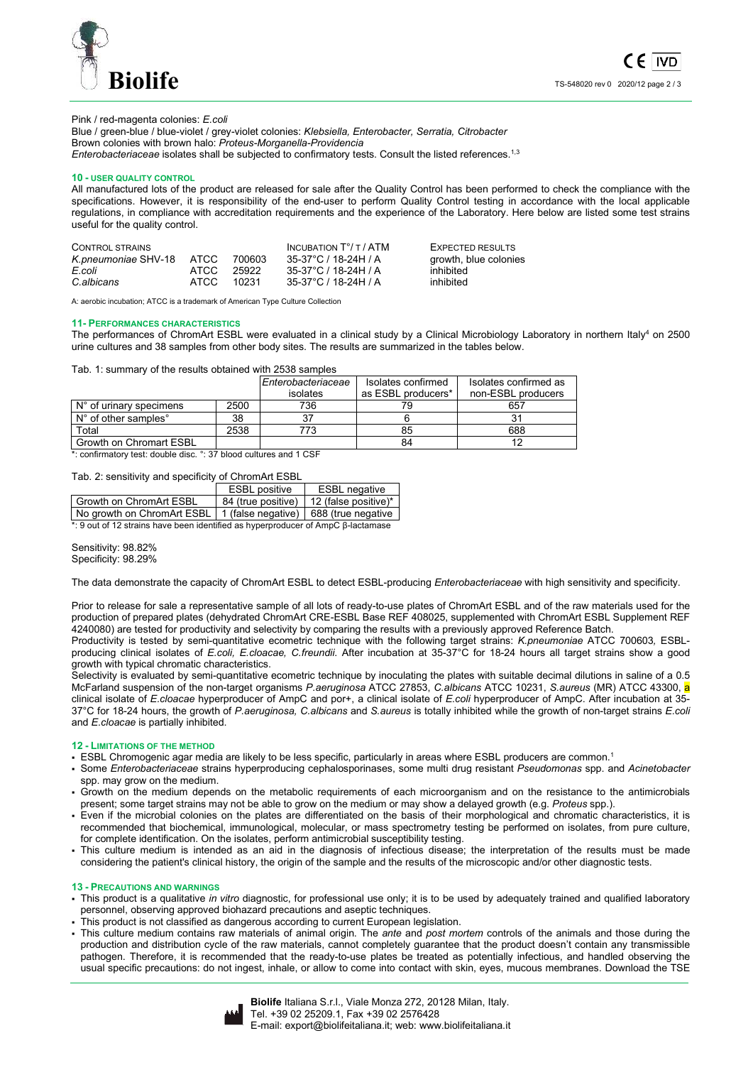

# Pink / red-magenta colonies: *E.coli*

Blue / green-blue / blue-violet / grey-violet colonies: *Klebsiella, Enterobacter, Serratia, Citrobacter* Brown colonies with brown halo: *Proteus-Morganella-Providencia Enterobacteriaceae* isolates shall be subjected to confirmatory tests. Consult the listed references.<sup>1,3</sup>

#### **10 - USER QUALITY CONTROL**

All manufactured lots of the product are released for sale after the Quality Control has been performed to check the compliance with the specifications. However, it is responsibility of the end-user to perform Quality Control testing in accordance with the local applicable regulations, in compliance with accreditation requirements and the experience of the Laboratory. Here below are listed some test strains useful for the quality control.

| CONTROL STRAINS          |       |        | INCUBATION $T^{\circ}/T$ / ATM | EXPECTED RESULTS      |
|--------------------------|-------|--------|--------------------------------|-----------------------|
| K.pneumoniae SHV-18 ATCC |       | 700603 | 35-37°C / 18-24H / A           | growth, blue colonies |
| E.coli                   | ATCC. | 25922  | 35-37°C / 18-24H / A           | inhibited             |
| C.albicans               | ATCC. | 10231  | 35-37°C / 18-24H / A           | inhibited             |

A: aerobic incubation; ATCC is a trademark of American Type Culture Collection

# **11- PERFORMANCES CHARACTERISTICS**

The performances of ChromArt ESBL were evaluated in a clinical study by a Clinical Microbiology Laboratory in northern Italy<sup>4</sup> on 2500 urine cultures and 38 samples from other body sites. The results are summarized in the tables below.

Tab. 1: summary of the results obtained with 2538 samples

|                                  |      | Enterobacteriaceae | Isolates confirmed | Isolates confirmed as |
|----------------------------------|------|--------------------|--------------------|-----------------------|
|                                  |      | isolates           | as ESBL producers* | non-ESBL producers    |
| $N^{\circ}$ of urinary specimens | 2500 | 736                |                    | 657                   |
| N° of other samples°             | 38   |                    |                    |                       |
| Total                            | 2538 |                    | 85                 | 688                   |
| Growth on Chromart ESBL          |      |                    | 84                 |                       |

\*: confirmatory test: double disc. °: 37 blood cultures and 1 CSF

Tab. 2: sensitivity and specificity of ChromArt ESBL

|                                                                      | <b>ESBL</b> positive | <b>ESBL</b> negative                      |  |  |
|----------------------------------------------------------------------|----------------------|-------------------------------------------|--|--|
| l Growth on ChromArt ESBL                                            |                      | 84 (true positive)   12 (false positive)* |  |  |
| No growth on ChromArt ESBL   1 (false negative)   688 (true negative |                      |                                           |  |  |
|                                                                      |                      |                                           |  |  |

 $*$ : 9 out of 12 strains have been identified as hyperproducer of AmpC β-lactamas

Sensitivity: 98.82% Specificity: 98.29%

The data demonstrate the capacity of ChromArt ESBL to detect ESBL-producing *Enterobacteriaceae* with high sensitivity and specificity.

Prior to release for sale a representative sample of all lots of ready-to-use plates of ChromArt ESBL and of the raw materials used for the production of prepared plates (dehydrated ChromArt CRE-ESBL Base REF 408025, supplemented with ChromArt ESBL Supplement REF 4240080) are tested for productivity and selectivity by comparing the results with a previously approved Reference Batch.

Productivity is tested by semi-quantitative ecometric technique with the following target strains: *K.pneumoniae* ATCC 700603*,* ESBLproducing clinical isolates of *E.coli, E.cloacae, C.freundii*. After incubation at 35-37°C for 18-24 hours all target strains show a good growth with typical chromatic characteristics.

Selectivity is evaluated by semi-quantitative ecometric technique by inoculating the plates with suitable decimal dilutions in saline of a 0.5 McFarland suspension of the non-target organisms *P.aeruginosa* ATCC 27853, *C.albicans* ATCC 10231, *S.aureus* (MR) ATCC 43300, a clinical isolate of *E.cloacae* hyperproducer of AmpC and por+, a clinical isolate of *E.coli* hyperproducer of AmpC. After incubation at 35- 37°C for 18-24 hours, the growth of *P.aeruginosa, C.albicans* and *S.aureus* is totally inhibited while the growth of non-target strains *E.coli* and *E.cloacae* is partially inhibited.

#### **12 - LIMITATIONS OF THE METHOD**

- **ESBL Chromogenic agar media are likely to be less specific, particularly in areas where ESBL producers are common.**<sup>1</sup>
- Some *Enterobacteriaceae* strains hyperproducing cephalosporinases, some multi drug resistant *Pseudomonas* spp. and *Acinetobacter* spp. may grow on the medium.
- Growth on the medium depends on the metabolic requirements of each microorganism and on the resistance to the antimicrobials present; some target strains may not be able to grow on the medium or may show a delayed growth (e.g. *Proteus* spp.).
- Even if the microbial colonies on the plates are differentiated on the basis of their morphological and chromatic characteristics, it is recommended that biochemical, immunological, molecular, or mass spectrometry testing be performed on isolates, from pure culture, for complete identification. On the isolates, perform antimicrobial susceptibility testing.
- This culture medium is intended as an aid in the diagnosis of infectious disease; the interpretation of the results must be made considering the patient's clinical history, the origin of the sample and the results of the microscopic and/or other diagnostic tests.

#### **13 - PRECAUTIONS AND WARNINGS**

- This product is a qualitative *in vitro* diagnostic, for professional use only; it is to be used by adequately trained and qualified laboratory personnel, observing approved biohazard precautions and aseptic techniques.
- This product is not classified as dangerous according to current European legislation.
- This culture medium contains raw materials of animal origin. The *ante* and *post mortem* controls of the animals and those during the production and distribution cycle of the raw materials, cannot completely guarantee that the product doesn't contain any transmissible pathogen. Therefore, it is recommended that the ready-to-use plates be treated as potentially infectious, and handled observing the usual specific precautions: do not ingest, inhale, or allow to come into contact with skin, eyes, mucous membranes. Download the TSE